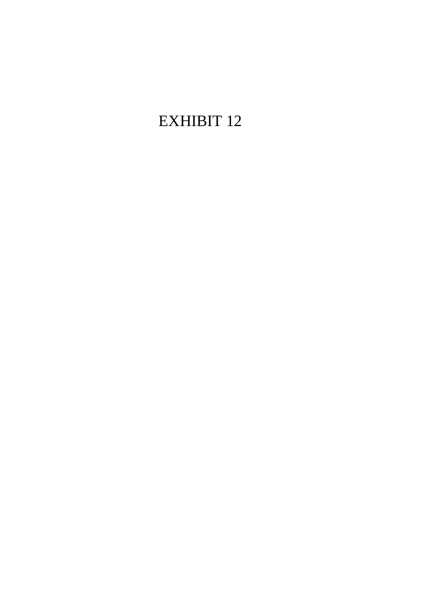# EXHIBIT 12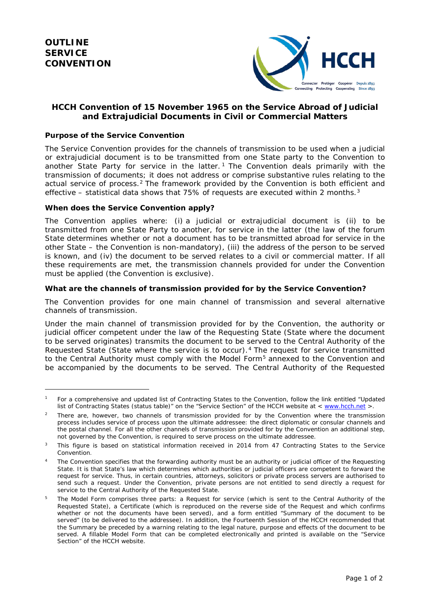$\overline{a}$ 



# **HCCH Convention of 15 November 1965 on the Service Abroad of Judicial and Extrajudicial Documents in Civil or Commercial Matters**

### *Purpose of the Service Convention*

The Service Convention provides for the channels of transmission to be used when a judicial or extrajudicial document is to be transmitted from one State party to the Convention to another State Party for service in the latter.<sup>[1](#page-1-0)</sup> The Convention deals primarily with the *transmission* of documents; it does not address or comprise substantive rules relating to the actual service of process.[2](#page-1-1) The framework provided by the Convention is both efficient and effective – statistical data shows that 75% of requests are executed within 2 months.<sup>[3](#page-1-2)</sup>

#### *When does the Service Convention apply?*

The Convention applies where: (i) a judicial or extrajudicial document is (ii) to be transmitted from one State Party to another, for service in the latter (the law of the forum State determines whether or not a document has to be transmitted abroad for service in the other State – the Convention is *non-mandatory*), (iii) the address of the person to be served is known, and (iv) the document to be served relates to a civil or commercial matter. If all these requirements are met, the transmission channels provided for under the Convention must be applied (the Convention is *exclusive*).

#### *What are the channels of transmission provided for by the Service Convention?*

The Convention provides for *one main channel* of transmission and *several alternative channels* of transmission.

Under the main channel of transmission provided for by the Convention, the authority or judicial officer competent under the law of the Requesting State (State where the document to be served originates) transmits the document to be served to the *Central Authority* of the Requested State (State where the service is to occur).[4](#page-1-3) The request for service transmitted to the Central Authority must comply with the *Model Form*[5](#page-1-4) annexed to the Convention and be accompanied by the documents to be served. The Central Authority of the Requested

<span id="page-1-0"></span><sup>&</sup>lt;sup>1</sup> For a comprehensive and updated list of Contracting States to the Convention, follow the link entitled "Updated list of Contracting States (status table)" on the "Service Section" of the HCCH website at < [www.hcch.net](http://www.hcch.net/) >.

<span id="page-1-1"></span><sup>&</sup>lt;sup>2</sup> There are, however, two channels of transmission provided for by the Convention where the transmission process includes service of process upon the ultimate addressee: the direct diplomatic or consular channels and the postal channel. For all the other channels of transmission provided for by the Convention an additional step, not governed by the Convention, is required to serve process on the ultimate addressee.

<span id="page-1-2"></span>This figure is based on statistical information received in 2014 from 47 Contracting States to the Service Convention.

<span id="page-1-3"></span>The Convention specifies that the forwarding authority must be an authority or judicial officer of the Requesting State. It is that State's law which determines which authorities or judicial officers are competent to forward the request for service. Thus, in certain countries, attorneys, solicitors or private process servers are authorised to send such a request. Under the Convention, private persons are not entitled to send directly a request for service to the Central Authority of the Requested State.

<span id="page-1-4"></span><sup>5</sup> The Model Form comprises three parts: a *Request* for service (which is sent to the Central Authority of the Requested State), a *Certificate* (which is reproduced on the reverse side of the Request and which confirms whether or not the documents have been served), and a form entitled *"Summary of the document to be served"* (to be delivered to the addressee). In addition, the Fourteenth Session of the HCCH recommended that the Summary be preceded by a *warning* relating to the legal nature, purpose and effects of the document to be served. A fillable Model Form that can be completed electronically and printed is available on the "Service Section" of the HCCH website.